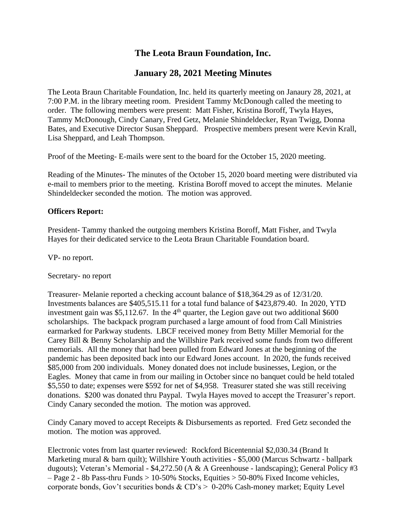# **The Leota Braun Foundation, Inc.**

## **January 28, 2021 Meeting Minutes**

The Leota Braun Charitable Foundation, Inc. held its quarterly meeting on Janaury 28, 2021, at 7:00 P.M. in the library meeting room. President Tammy McDonough called the meeting to order. The following members were present: Matt Fisher, Kristina Boroff, Twyla Hayes, Tammy McDonough, Cindy Canary, Fred Getz, Melanie Shindeldecker, Ryan Twigg, Donna Bates, and Executive Director Susan Sheppard. Prospective members present were Kevin Krall, Lisa Sheppard, and Leah Thompson.

Proof of the Meeting- E-mails were sent to the board for the October 15, 2020 meeting.

Reading of the Minutes- The minutes of the October 15, 2020 board meeting were distributed via e-mail to members prior to the meeting. Kristina Boroff moved to accept the minutes. Melanie Shindeldecker seconded the motion. The motion was approved.

### **Officers Report:**

President- Tammy thanked the outgoing members Kristina Boroff, Matt Fisher, and Twyla Hayes for their dedicated service to the Leota Braun Charitable Foundation board.

VP- no report.

Secretary- no report

Treasurer- Melanie reported a checking account balance of \$18,364.29 as of 12/31/20. Investments balances are \$405,515.11 for a total fund balance of \$423,879.40. In 2020, YTD investment gain was \$5,112.67. In the  $4<sup>th</sup>$  quarter, the Legion gave out two additional \$600 scholarships. The backpack program purchased a large amount of food from Call Ministries earmarked for Parkway students. LBCF received money from Betty Miller Memorial for the Carey Bill & Benny Scholarship and the Willshire Park received some funds from two different memorials. All the money that had been pulled from Edward Jones at the beginning of the pandemic has been deposited back into our Edward Jones account. In 2020, the funds received \$85,000 from 200 individuals. Money donated does not include businesses, Legion, or the Eagles. Money that came in from our mailing in October since no banquet could be held totaled \$5,550 to date; expenses were \$592 for net of \$4,958. Treasurer stated she was still receiving donations. \$200 was donated thru Paypal. Twyla Hayes moved to accept the Treasurer's report. Cindy Canary seconded the motion. The motion was approved.

Cindy Canary moved to accept Receipts & Disbursements as reported. Fred Getz seconded the motion. The motion was approved.

Electronic votes from last quarter reviewed: Rockford Bicentennial \$2,030.34 (Brand It Marketing mural & barn quilt); Willshire Youth activities - \$5,000 (Marcus Schwartz - ballpark dugouts); Veteran's Memorial - \$4,272.50 (A & A Greenhouse - landscaping); General Policy #3 – Page 2 - 8b Pass-thru Funds > 10-50% Stocks, Equities > 50-80% Fixed Income vehicles, corporate bonds, Gov't securities bonds & CD's > 0-20% Cash-money market; Equity Level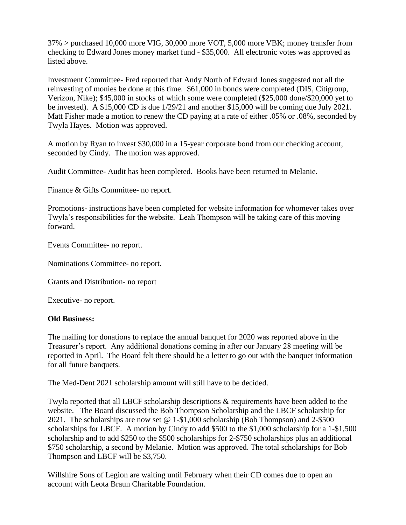37% > purchased 10,000 more VIG, 30,000 more VOT, 5,000 more VBK; money transfer from checking to Edward Jones money market fund - \$35,000. All electronic votes was approved as listed above.

Investment Committee- Fred reported that Andy North of Edward Jones suggested not all the reinvesting of monies be done at this time. \$61,000 in bonds were completed (DIS, Citigroup, Verizon, Nike); \$45,000 in stocks of which some were completed (\$25,000 done/\$20,000 yet to be invested). A \$15,000 CD is due 1/29/21 and another \$15,000 will be coming due July 2021. Matt Fisher made a motion to renew the CD paying at a rate of either .05% or .08%, seconded by Twyla Hayes. Motion was approved.

A motion by Ryan to invest \$30,000 in a 15-year corporate bond from our checking account, seconded by Cindy. The motion was approved.

Audit Committee- Audit has been completed. Books have been returned to Melanie.

Finance & Gifts Committee- no report.

Promotions- instructions have been completed for website information for whomever takes over Twyla's responsibilities for the website. Leah Thompson will be taking care of this moving forward.

Events Committee- no report.

Nominations Committee- no report.

Grants and Distribution- no report

Executive- no report.

#### **Old Business:**

The mailing for donations to replace the annual banquet for 2020 was reported above in the Treasurer's report. Any additional donations coming in after our January 28 meeting will be reported in April. The Board felt there should be a letter to go out with the banquet information for all future banquets.

The Med-Dent 2021 scholarship amount will still have to be decided.

Twyla reported that all LBCF scholarship descriptions & requirements have been added to the website. The Board discussed the Bob Thompson Scholarship and the LBCF scholarship for 2021. The scholarships are now set @ 1-\$1,000 scholarship (Bob Thompson) and 2-\$500 scholarships for LBCF. A motion by Cindy to add \$500 to the \$1,000 scholarship for a 1-\$1,500 scholarship and to add \$250 to the \$500 scholarships for 2-\$750 scholarships plus an additional \$750 scholarship, a second by Melanie. Motion was approved. The total scholarships for Bob Thompson and LBCF will be \$3,750.

Willshire Sons of Legion are waiting until February when their CD comes due to open an account with Leota Braun Charitable Foundation.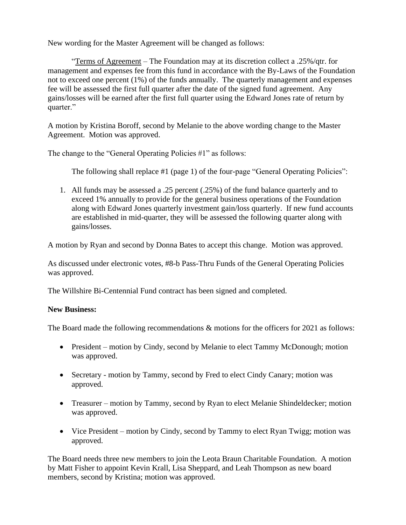New wording for the Master Agreement will be changed as follows:

"Terms of Agreement – The Foundation may at its discretion collect a .25%/qtr. for management and expenses fee from this fund in accordance with the By-Laws of the Foundation not to exceed one percent (1%) of the funds annually. The quarterly management and expenses fee will be assessed the first full quarter after the date of the signed fund agreement. Any gains/losses will be earned after the first full quarter using the Edward Jones rate of return by quarter."

A motion by Kristina Boroff, second by Melanie to the above wording change to the Master Agreement. Motion was approved.

The change to the "General Operating Policies #1" as follows:

The following shall replace #1 (page 1) of the four-page "General Operating Policies":

1. All funds may be assessed a .25 percent (.25%) of the fund balance quarterly and to exceed 1% annually to provide for the general business operations of the Foundation along with Edward Jones quarterly investment gain/loss quarterly. If new fund accounts are established in mid-quarter, they will be assessed the following quarter along with gains/losses.

A motion by Ryan and second by Donna Bates to accept this change. Motion was approved.

As discussed under electronic votes, #8-b Pass-Thru Funds of the General Operating Policies was approved.

The Willshire Bi-Centennial Fund contract has been signed and completed.

### **New Business:**

The Board made the following recommendations & motions for the officers for 2021 as follows:

- President motion by Cindy, second by Melanie to elect Tammy McDonough; motion was approved.
- Secretary motion by Tammy, second by Fred to elect Cindy Canary; motion was approved.
- Treasurer motion by Tammy, second by Ryan to elect Melanie Shindeldecker; motion was approved.
- Vice President motion by Cindy, second by Tammy to elect Ryan Twigg; motion was approved.

The Board needs three new members to join the Leota Braun Charitable Foundation. A motion by Matt Fisher to appoint Kevin Krall, Lisa Sheppard, and Leah Thompson as new board members, second by Kristina; motion was approved.